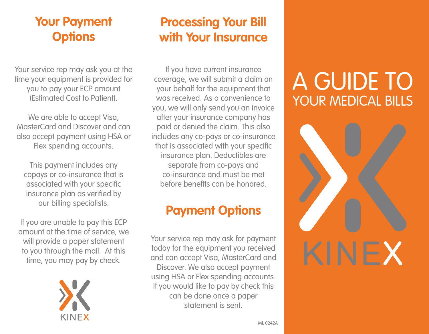### **Your Payment Options**

Your service rep may ask you at the time your equipment is provided for you to pay your ECP amount (Estimated Cost to Patient).

We are able to accept Visa, MasterCard and Discover and can also accept payment using HSA or Flex spending accounts.

This payment includes any copays or co-insurance that is associated with your specific insurance plan as verified by our billing specialists.

If you are unable to pay this ECP amount at the time of service, we will provide a paper statement to you through the mail. At this time, you may pay by check.



### **Processing Your Bill with Your Insurance**

If you have current insurance coverage, we will submit a claim on your behalf for the equipment that was received. As a convenience to you, we will only send you an invoice after your insurance company has paid or denied the claim. This also includes any co-pays or co-insurance that is associated with your specific insurance plan. Deductibles are separate from co-pays and co-insurance and must be met before benefits can be honored.

## **Payment Options**

Your service rep may ask for payment today for the equipment you received and can accept Visa, MasterCard and Discover. We also accept payment using HSA or Flex spending accounts. If you would like to pay by check this can be done once a paper statement is sent.

# A GUIDE TO YOUR MEDICAL BILLS